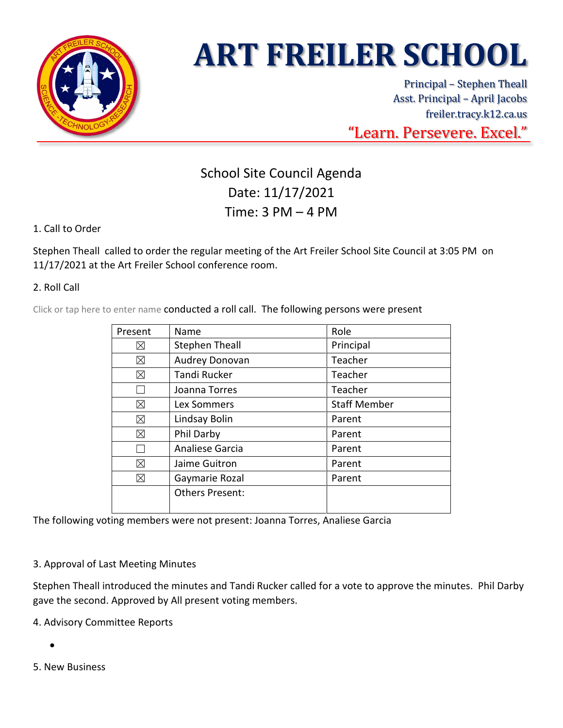

# **ART FREILER SCHOOL**

Principal – Stephen Theall Asst. Principal – April Jacobs freiler.tracy.k12.ca.us "Learn. Persevere. Excel."

## School Site Council Agenda Date: 11/17/2021 Time: 3 PM – 4 PM

### 1. Call to Order

Stephen Theall called to order the regular meeting of the Art Freiler School Site Council at 3:05 PM on 11/17/2021 at the Art Freiler School conference room.

#### 2. Roll Call

Click or tap here to enter name conducted a roll call. The following persons were present

| Present | Name                   | Role                |
|---------|------------------------|---------------------|
| ⊠       | <b>Stephen Theall</b>  | Principal           |
| ⊠       | Audrey Donovan         | Teacher             |
| ⊠       | <b>Tandi Rucker</b>    | Teacher             |
|         | Joanna Torres          | Teacher             |
| ⊠       | Lex Sommers            | <b>Staff Member</b> |
| ⊠       | Lindsay Bolin          | Parent              |
| ⊠       | Phil Darby             | Parent              |
|         | Analiese Garcia        | Parent              |
| ⊠       | Jaime Guitron          | Parent              |
| ⊠       | Gaymarie Rozal         | Parent              |
|         | <b>Others Present:</b> |                     |
|         |                        |                     |

The following voting members were not present: Joanna Torres, Analiese Garcia

#### 3. Approval of Last Meeting Minutes

Stephen Theall introduced the minutes and Tandi Rucker called for a vote to approve the minutes. Phil Darby gave the second. Approved by All present voting members.

4. Advisory Committee Reports

- •
- 5. New Business